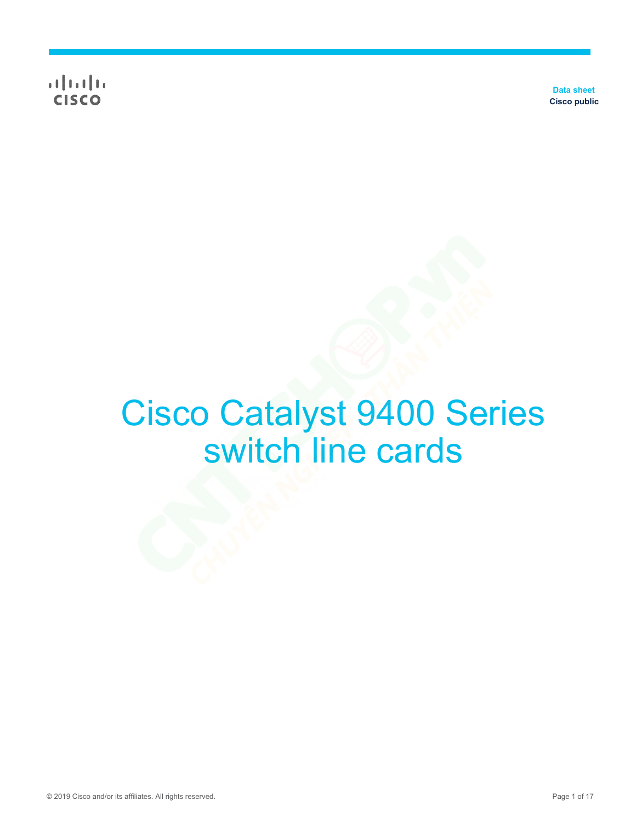**CISCO** 

**Data sheet Cisco public**

# Cisco Catalyst 9400 Series switch line cards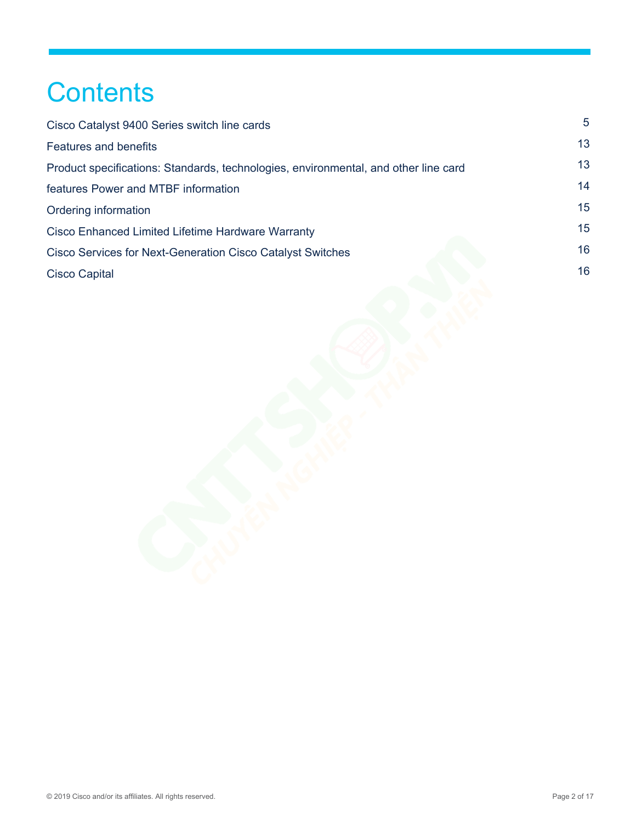# **Contents**

| $5^{\circ}$ |
|-------------|
| 13          |
| 13          |
| 14          |
| 15          |
| 15          |
| 16          |
| 16          |
|             |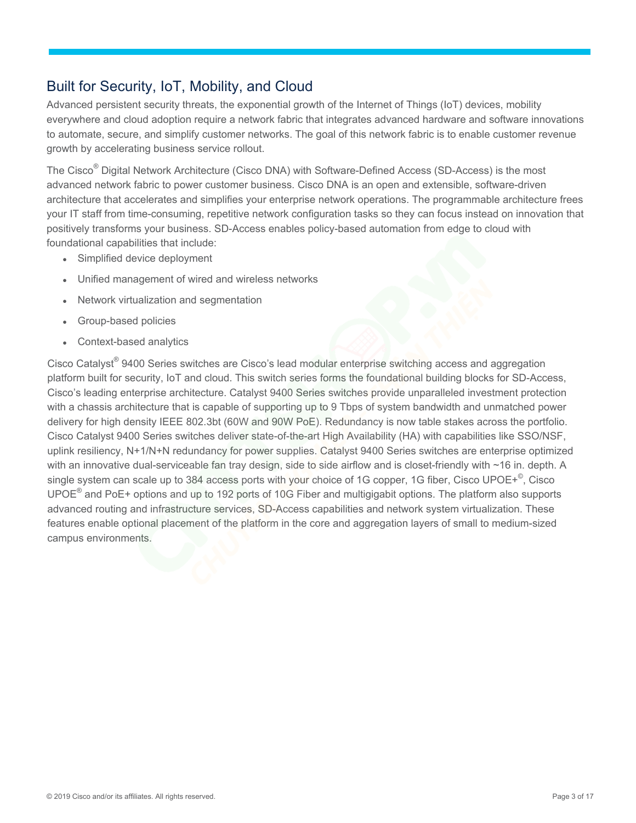# Built for Security, IoT, Mobility, and Cloud

Advanced persistent security threats, the exponential growth of the Internet of Things (IoT) devices, mobility everywhere and cloud adoption require a network fabric that integrates advanced hardware and software innovations to automate, secure, and simplify customer networks. The goal of this network fabric is to enable customer revenue growth by accelerating business service rollout.

The Cisco® Digital Network Architecture (Cisco DNA) with Software-Defined Access (SD-Access) is the most advanced network fabric to power customer business. Cisco DNA is an open and extensible, software-driven architecture that accelerates and simplifies your enterprise network operations. The programmable architecture frees your IT staff from time-consuming, repetitive network configuration tasks so they can focus instead on innovation that positively transforms your business. SD-Access enables policy-based automation from edge to cloud with foundational capabilities that include:

Simplified device deployment

Unified management of wired and wireless networks

Network virtualization and segmentation

Group-based policies

Context-based analytics

Cisco Catalyst® 9400 Series switches are Cisco's lead modular enterprise switching access and aggregation platform built for security, IoT and cloud. This switch series forms the foundational building blocks for SD-Access, Cisco's leading enterprise architecture. Catalyst 9400 Series switches provide unparalleled investment protection with a chassis architecture that is capable of supporting up to 9 Tbps of system bandwidth and unmatched power delivery for high density IEEE 802.3bt (60W and 90W PoE). Redundancy is now table stakes across the portfolio. Cisco Catalyst 9400 Series switches deliver state-of-the-art High Availability (HA) with capabilities like SSO/NSF, uplink resiliency, N+1/N+N redundancy for power supplies. Catalyst 9400 Series switches are enterprise optimized with an innovative dual-serviceable fan tray design, side to side airflow and is closet-friendly with ~16 in. depth. A single system can scale up to 384 access ports with your choice of 1G copper, 1G fiber, Cisco UPOE+<sup>©</sup>, Cisco UPOE $^{\circ}$  and PoE+ options and up to 192 ports of 10G Fiber and multigigabit options. The platform also supports advanced routing and infrastructure services, SD-Access capabilities and network system virtualization. These features enable optional placement of the platform in the core and aggregation layers of small to medium-sized campus environments.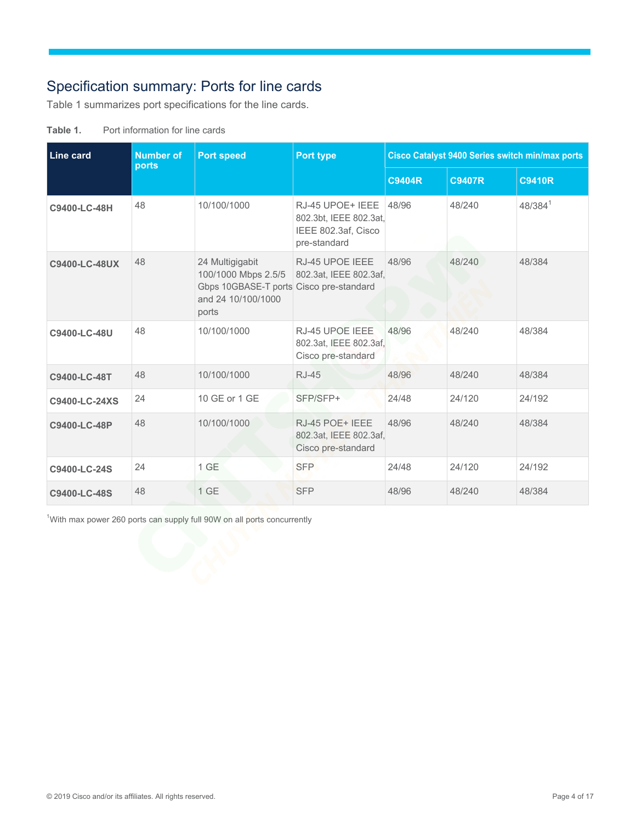# <span id="page-3-0"></span>Specification summary: Ports for line cards

Table 1 summarizes port specifications for the line cards.

| Line card     | <b>Number of</b><br><b>Port speed</b><br>ports |                                                                                                                  | Port type                                                                         | Cisco Catalyst 9400 Series switch min/max ports |               |               |
|---------------|------------------------------------------------|------------------------------------------------------------------------------------------------------------------|-----------------------------------------------------------------------------------|-------------------------------------------------|---------------|---------------|
|               |                                                |                                                                                                                  |                                                                                   | <b>C9404R</b>                                   | <b>C9407R</b> | <b>C9410R</b> |
| C9400-LC-48H  | 48                                             | 10/100/1000                                                                                                      | RJ-45 UPOE+ IEEE<br>802.3bt, IEEE 802.3at,<br>IEEE 802.3af, Cisco<br>pre-standard | 48/96                                           | 48/240        | $48/384^{1}$  |
| C9400-LC-48UX | 48                                             | 24 Multigigabit<br>100/1000 Mbps 2.5/5<br>Gbps 10GBASE-T ports Cisco pre-standard<br>and 24 10/100/1000<br>ports | RJ-45 UPOE IEEE<br>802.3at, IEEE 802.3af,                                         | 48/96                                           | 48/240        | 48/384        |
| C9400-LC-48U  | 48                                             | 10/100/1000                                                                                                      | RJ-45 UPOE IEEE<br>802.3at, IEEE 802.3af,<br>Cisco pre-standard                   | 48/96                                           | 48/240        | 48/384        |
| C9400-LC-48T  | 48                                             | 10/100/1000                                                                                                      | <b>RJ-45</b>                                                                      | 48/96                                           | 48/240        | 48/384        |
| C9400-LC-24XS | 24                                             | 10 GE or 1 GE                                                                                                    | SFP/SFP+                                                                          | 24/48                                           | 24/120        | 24/192        |
| C9400-LC-48P  | 48                                             | 10/100/1000                                                                                                      | RJ-45 POE+ IEEE<br>802.3at, IEEE 802.3af,<br>Cisco pre-standard                   | 48/96                                           | 48/240        | 48/384        |
| C9400-LC-24S  | 24                                             | 1 GE                                                                                                             | <b>SFP</b>                                                                        | 24/48                                           | 24/120        | 24/192        |
| C9400-LC-48S  | 48                                             | 1 GE                                                                                                             | <b>SFP</b>                                                                        | 48/96                                           | 48/240        | 48/384        |

<sup>1</sup>With max power 260 ports can supply full 90W on all ports concurrently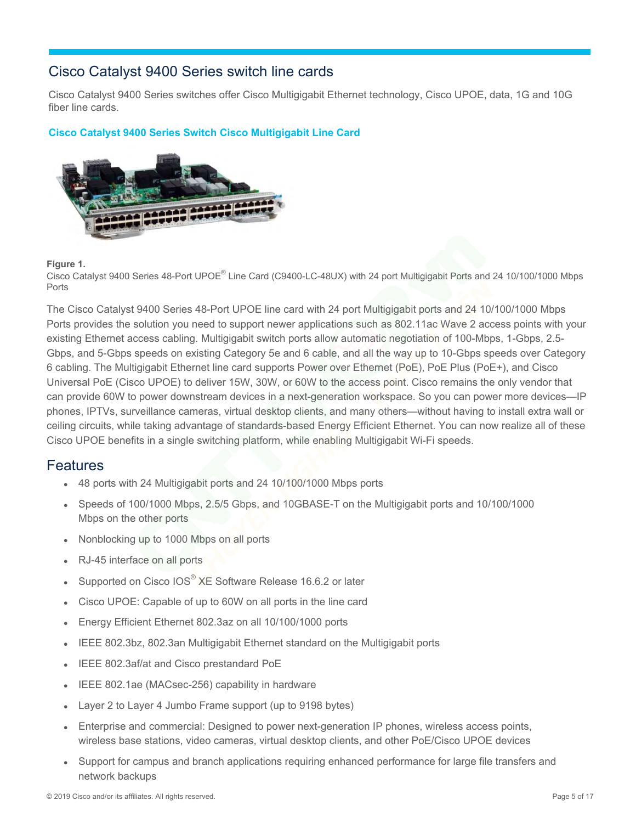## <span id="page-4-0"></span>Cisco Catalyst 9400 Series switch line cards

Cisco Catalyst 9400 Series switches offer Cisco Multigigabit Ethernet technology, Cisco UPOE, data, 1G and 10G fiber line cards.

### **Cisco Catalyst 9400 Series Switch Cisco Multigigabit Line Card**



#### **Figure 1.**

Cisco Catalyst 9400 Series 48-Port UPOE® Line Card (C9400-LC-48UX) with 24 port Multigigabit Ports and 24 10/100/1000 Mbps Ports

The Cisco Catalyst 9400 Series 48-Port UPOE line card with 24 port Multigigabit ports and 24 10/100/1000 Mbps Ports provides the solution you need to support newer applications such as 802.11ac Wave 2 access points with your existing Ethernet access cabling. Multigigabit switch ports allow automatic negotiation of 100-Mbps, 1-Gbps, 2.5- Gbps, and 5-Gbps speeds on existing Category 5e and 6 cable, and all the way up to 10-Gbps speeds over Category 6 cabling. The Multigigabit Ethernet line card supports Power over Ethernet (PoE), PoE Plus (PoE+), and Cisco Universal PoE (Cisco UPOE) to deliver 15W, 30W, or 60W to the access point. Cisco remains the only vendor that can provide 60W to power downstream devices in a next-generation workspace. So you can power more devices—IP phones, IPTVs, surveillance cameras, virtual desktop clients, and many others—without having to install extra wall or ceiling circuits, while taking advantage of standards-based Energy Efficient Ethernet. You can now realize all of these Cisco UPOE benefits in a single switching platform, while enabling Multigigabit Wi-Fi speeds.

## **Features**

48 ports with 24 Multigigabit ports and 24 10/100/1000 Mbps ports

Speeds of 100/1000 Mbps, 2.5/5 Gbps, and 10GBASE-T on the Multigigabit ports and 10/100/1000 Mbps on the other ports

Nonblocking up to 1000 Mbps on all ports

RJ-45 interface on all ports

Supported on Cisco IOS® XE Software Release 16.6.2 or later

Cisco UPOE: Capable of up to 60W on all ports in the line card

Energy Efficient Ethernet 802.3az on all 10/100/1000 ports

IEEE 802.3bz, 802.3an Multigigabit Ethernet standard on the Multigigabit ports

IEEE 802.3af/at and Cisco prestandard PoE

IEEE 802.1ae (MACsec-256) capability in hardware

Layer 2 to Layer 4 Jumbo Frame support (up to 9198 bytes)

Enterprise and commercial: Designed to power next-generation IP phones, wireless access points, wireless base stations, video cameras, virtual desktop clients, and other PoE/Cisco UPOE devices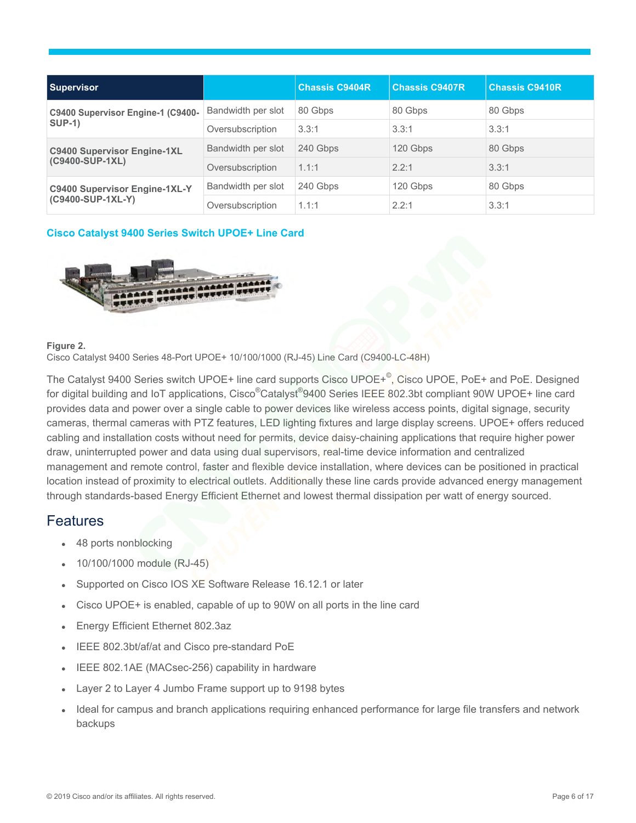| <b>Supervisor</b>                                         |                    | <b>Chassis C9404R</b> | <b>Chassis C9407R</b> | <b>Chassis C9410R</b> |
|-----------------------------------------------------------|--------------------|-----------------------|-----------------------|-----------------------|
| C9400 Supervisor Engine-1 (C9400-<br><b>SUP-1)</b>        | Bandwidth per slot | 80 Gbps               | 80 Gbps               | 80 Gbps               |
|                                                           | Oversubscription   | 3.3:1                 | 3.3:1                 | 3.3:1                 |
| <b>C9400 Supervisor Engine-1XL</b><br>(C9400-SUP-1XL)     | Bandwidth per slot | 240 Gbps              | 120 Gbps              | 80 Gbps               |
|                                                           | Oversubscription   | 1.1:1                 | 2.2:1                 | 3.3:1                 |
| <b>C9400 Supervisor Engine-1XL-Y</b><br>(C9400-SUP-1XL-Y) | Bandwidth per slot | 240 Gbps              | 120 Gbps              | 80 Gbps               |
|                                                           | Oversubscription   | 1.1:1                 | 2.2:1                 | 3.3:1                 |

#### **Cisco Catalyst 9400 Series Switch UPOE+ Line Card**



#### **Figure 2.**

Cisco Catalyst 9400 Series 48-Port UPOE+ 10/100/1000 (RJ-45) Line Card (C9400-LC-48H)

The Catalyst 9400 Series switch UPOE+ line card supports Cisco UPOE+<sup>©</sup>, Cisco UPOE, PoE+ and PoE. Designed for digital building and IoT applications, Cisco<sup>®</sup>Catalyst<sup>®</sup>9400 Series IEEE 802.3bt compliant 90W UPOE+ line card provides data and power over a single cable to power devices like wireless access points, digital signage, security cameras, thermal cameras with PTZ features, LED lighting fixtures and large display screens. UPOE+ offers reduced cabling and installation costs without need for permits, device daisy-chaining applications that require higher power draw, uninterrupted power and data using dual supervisors, real-time device information and centralized management and remote control, faster and flexible device installation, where devices can be positioned in practical location instead of proximity to electrical outlets. Additionally these line cards provide advanced energy management through standards-based Energy Efficient Ethernet and lowest thermal dissipation per watt of energy sourced.

## **Features**

48 ports nonblocking

10/100/1000 module (RJ-45)

Supported on Cisco IOS XE Software Release 16.12.1 or later

Cisco UPOE+ is enabled, capable of up to 90W on all ports in the line card

Energy Efficient Ethernet 802.3az

IEEE 802.3bt/af/at and Cisco pre-standard PoE

IEEE 802.1AE (MACsec-256) capability in hardware

Layer 2 to Layer 4 Jumbo Frame support up to 9198 bytes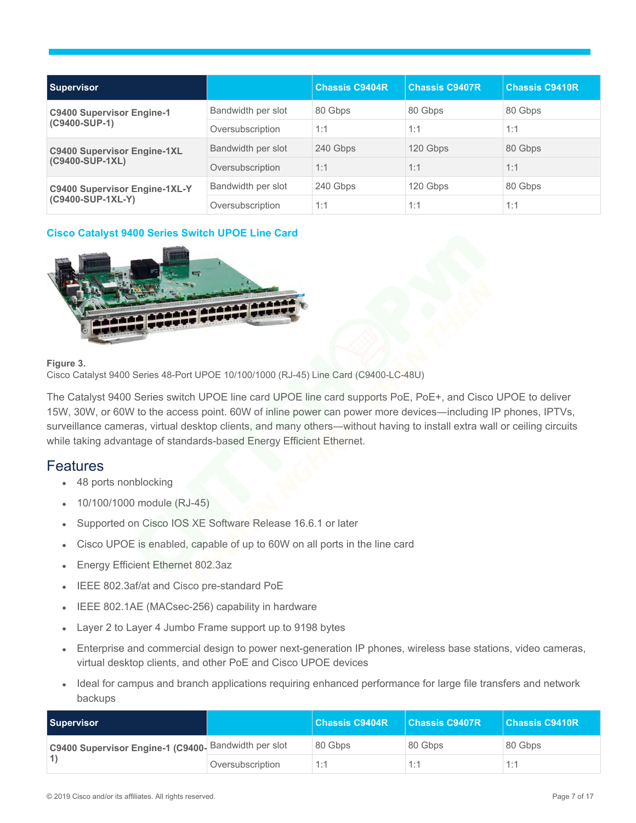| <b>Supervisor</b>                                         |                    | <b>Chassis C9404R</b> | <b>Chassis C9407R</b> | <b>Chassis C9410R</b> |
|-----------------------------------------------------------|--------------------|-----------------------|-----------------------|-----------------------|
| <b>C9400 Supervisor Engine-1</b><br>(C9400-SUP-1)         | Bandwidth per slot | 80 Gbps               | 80 Gbps               | 80 Gbps               |
|                                                           | Oversubscription   | 1:1                   | 1:1                   | 1:1                   |
| <b>C9400 Supervisor Engine-1XL</b><br>(C9400-SUP-1XL)     | Bandwidth per slot | 240 Gbps              | 120 Gbps              | 80 Gbps               |
|                                                           | Oversubscription   | 1:1                   | 1:1                   | 1:1                   |
| <b>C9400 Supervisor Engine-1XL-Y</b><br>(C9400-SUP-1XL-Y) | Bandwidth per slot | 240 Gbps              | 120 Gbps              | 80 Gbps               |
|                                                           | Oversubscription   | 1:1                   | 1:1                   | 1:1                   |

## **Cisco Catalyst 9400 Series Switch UPOE Line Card**



#### **Figure 3.**

Cisco Catalyst 9400 Series 48-Port UPOE 10/100/1000 (RJ-45) Line Card (C9400-LC-48U)

The Catalyst 9400 Series switch UPOE line card UPOE line card supports PoE, PoE+, and Cisco UPOE to deliver 15W, 30W, or 60W to the access point. 60W of inline power can power more devices―including IP phones, IPTVs, surveillance cameras, virtual desktop clients, and many others—without having to install extra wall or ceiling circuits while taking advantage of standards-based Energy Efficient Ethernet.

## **Features**

48 ports nonblocking

10/100/1000 module (RJ-45)

Supported on Cisco IOS XE Software Release 16.6.1 or later

Cisco UPOE is enabled, capable of up to 60W on all ports in the line card

Energy Efficient Ethernet 802.3az

IEEE 802.3af/at and Cisco pre-standard PoE

IEEE 802.1AE (MACsec-256) capability in hardware

Layer 2 to Layer 4 Jumbo Frame support up to 9198 bytes

Enterprise and commercial design to power next-generation IP phones, wireless base stations, video cameras, virtual desktop clients, and other PoE and Cisco UPOE devices

| <b>Supervisor</b>                                    |                  | <b>Chassis C9404R</b> | <b>Chassis C9407R</b> | Chassis C9410R |
|------------------------------------------------------|------------------|-----------------------|-----------------------|----------------|
| C9400 Supervisor Engine-1 (C9400- Bandwidth per slot |                  | 80 Gbps               | 80 Gbps               | 80 Gbps        |
|                                                      | Oversubscription | 1:1                   | 1:1                   | 1.1            |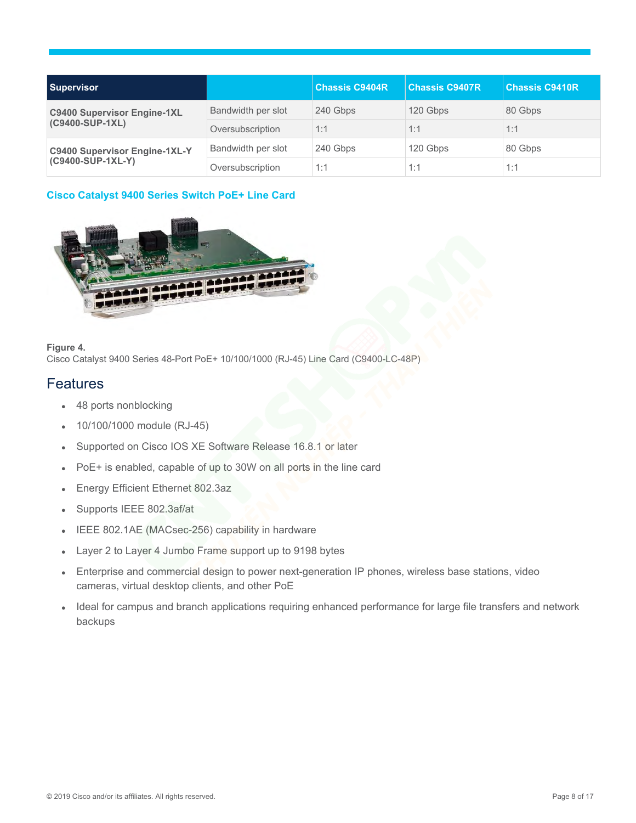| <b>Supervisor</b>                                         |                    | <b>Chassis C9404R</b> | <b>Chassis C9407R</b> | <b>Chassis C9410R</b> |
|-----------------------------------------------------------|--------------------|-----------------------|-----------------------|-----------------------|
| <b>C9400 Supervisor Engine-1XL</b><br>(C9400-SUP-1XL)     | Bandwidth per slot | 240 Gbps              | 120 Gbps              | 80 Gbps               |
|                                                           | Oversubscription   | 1:1                   | 1:1                   | 1:1                   |
| <b>C9400 Supervisor Engine-1XL-Y</b><br>(C9400-SUP-1XL-Y) | Bandwidth per slot | 240 Gbps              | 120 Gbps              | 80 Gbps               |
|                                                           | Oversubscription   | 1:1                   | 1:1                   | 1:1                   |

## **Cisco Catalyst 9400 Series Switch PoE+ Line Card**



#### **Figure 4.**

Cisco Catalyst 9400 Series 48-Port PoE+ 10/100/1000 (RJ-45) Line Card (C9400-LC-48P)

## **Features**

48 ports nonblocking

10/100/1000 module (RJ-45)

Supported on Cisco IOS XE Software Release 16.8.1 or later

PoE+ is enabled, capable of up to 30W on all ports in the line card

Energy Efficient Ethernet 802.3az

Supports IEEE 802.3af/at

IEEE 802.1AE (MACsec-256) capability in hardware

Layer 2 to Layer 4 Jumbo Frame support up to 9198 bytes

Enterprise and commercial design to power next-generation IP phones, wireless base stations, video cameras, virtual desktop clients, and other PoE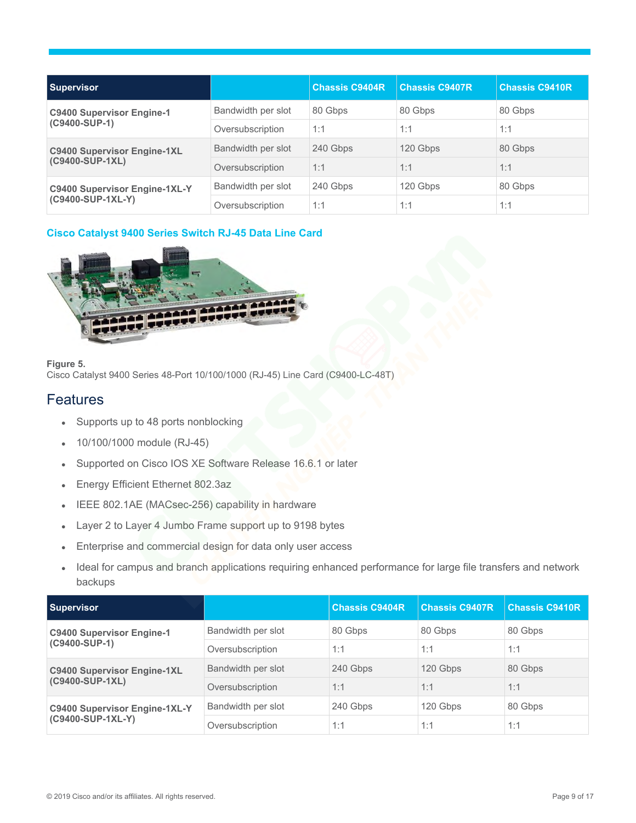| <b>Supervisor</b>                                         |                    | <b>Chassis C9404R</b> | <b>Chassis C9407R</b> | <b>Chassis C9410R</b> |
|-----------------------------------------------------------|--------------------|-----------------------|-----------------------|-----------------------|
| <b>C9400 Supervisor Engine-1</b><br>(C9400-SUP-1)         | Bandwidth per slot | 80 Gbps               | 80 Gbps               | 80 Gbps               |
|                                                           | Oversubscription   | 1:1                   | 1:1                   | 1:1                   |
| <b>C9400 Supervisor Engine-1XL</b><br>(C9400-SUP-1XL)     | Bandwidth per slot | 240 Gbps              | 120 Gbps              | 80 Gbps               |
|                                                           | Oversubscription   | 1:1                   | 1:1                   | 1:1                   |
| <b>C9400 Supervisor Engine-1XL-Y</b><br>(C9400-SUP-1XL-Y) | Bandwidth per slot | 240 Gbps              | 120 Gbps              | 80 Gbps               |
|                                                           | Oversubscription   | 1:1                   | 1:1                   | 1:1                   |

## **Cisco Catalyst 9400 Series Switch RJ-45 Data Line Card**



#### **Figure 5.**

Cisco Catalyst 9400 Series 48-Port 10/100/1000 (RJ-45) Line Card (C9400-LC-48T)

## **Features**

Supports up to 48 ports nonblocking

10/100/1000 module (RJ-45)

Supported on Cisco IOS XE Software Release 16.6.1 or later

Energy Efficient Ethernet 802.3az

IEEE 802.1AE (MACsec-256) capability in hardware

Layer 2 to Layer 4 Jumbo Frame support up to 9198 bytes

Enterprise and commercial design for data only user access

| <b>Supervisor</b>                                         |                    | <b>Chassis C9404R</b> | <b>Chassis C9407R</b> | <b>Chassis C9410R</b> |
|-----------------------------------------------------------|--------------------|-----------------------|-----------------------|-----------------------|
| <b>C9400 Supervisor Engine-1</b><br>(C9400-SUP-1)         | Bandwidth per slot | 80 Gbps               | 80 Gbps               | 80 Gbps               |
|                                                           | Oversubscription   | 1:1                   | 1:1                   | 1:1                   |
| <b>C9400 Supervisor Engine-1XL</b><br>(C9400-SUP-1XL)     | Bandwidth per slot | 240 Gbps              | 120 Gbps              | 80 Gbps               |
|                                                           | Oversubscription   | 1:1                   | 1:1                   | 1:1                   |
| <b>C9400 Supervisor Engine-1XL-Y</b><br>(C9400-SUP-1XL-Y) | Bandwidth per slot | 240 Gbps              | 120 Gbps              | 80 Gbps               |
|                                                           | Oversubscription   | 1:1                   | 1:1                   | 1:1                   |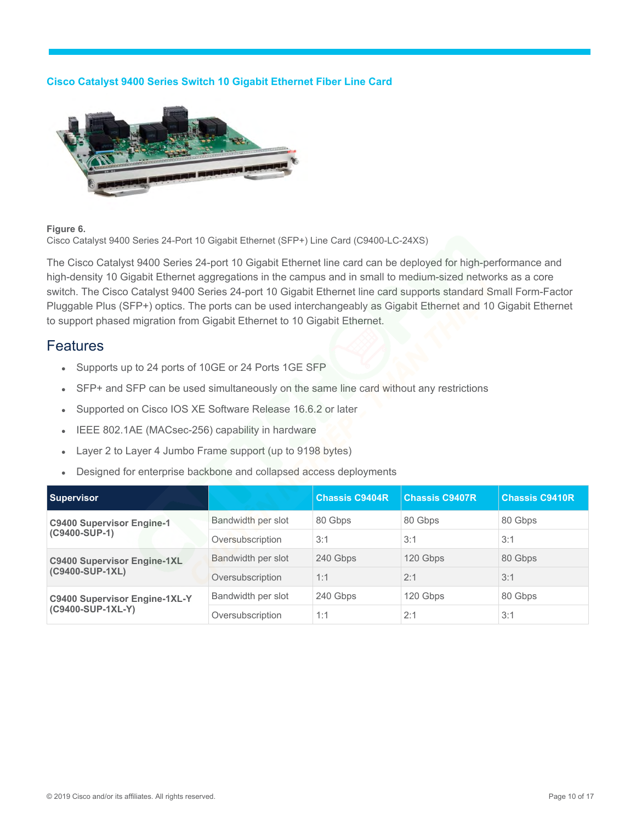#### **Cisco Catalyst 9400 Series Switch 10 Gigabit Ethernet Fiber Line Card**



#### **Figure 6.**

Cisco Catalyst 9400 Series 24-Port 10 Gigabit Ethernet (SFP+) Line Card (C9400-LC-24XS)

The Cisco Catalyst 9400 Series 24-port 10 Gigabit Ethernet line card can be deployed for high-performance and high-density 10 Gigabit Ethernet aggregations in the campus and in small to medium-sized networks as a core switch. The Cisco Catalyst 9400 Series 24-port 10 Gigabit Ethernet line card supports standard Small Form-Factor Pluggable Plus (SFP+) optics. The ports can be used interchangeably as Gigabit Ethernet and 10 Gigabit Ethernet to support phased migration from Gigabit Ethernet to 10 Gigabit Ethernet.

## **Features**

Supports up to 24 ports of 10GE or 24 Ports 1GE SFP

SFP+ and SFP can be used simultaneously on the same line card without any restrictions

Supported on Cisco IOS XE Software Release 16.6.2 or later

IEEE 802.1AE (MACsec-256) capability in hardware

Layer 2 to Layer 4 Jumbo Frame support (up to 9198 bytes)

Designed for enterprise backbone and collapsed access deployments

| <b>Supervisor</b>                                         |                    | <b>Chassis C9404R</b> | <b>Chassis C9407R</b> | <b>Chassis C9410R</b> |
|-----------------------------------------------------------|--------------------|-----------------------|-----------------------|-----------------------|
| <b>C9400 Supervisor Engine-1</b><br>(C9400-SUP-1)         | Bandwidth per slot | 80 Gbps               | 80 Gbps               | 80 Gbps               |
|                                                           | Oversubscription   | 3:1                   | 3:1                   | 3:1                   |
| <b>C9400 Supervisor Engine-1XL</b><br>(C9400-SUP-1XL)     | Bandwidth per slot | 240 Gbps              | 120 Gbps              | 80 Gbps               |
|                                                           | Oversubscription   | 1:1                   | 2:1                   | 3:1                   |
| <b>C9400 Supervisor Engine-1XL-Y</b><br>(C9400-SUP-1XL-Y) | Bandwidth per slot | 240 Gbps              | 120 Gbps              | 80 Gbps               |
|                                                           | Oversubscription   | 1:1                   | 2:1                   | 3:1                   |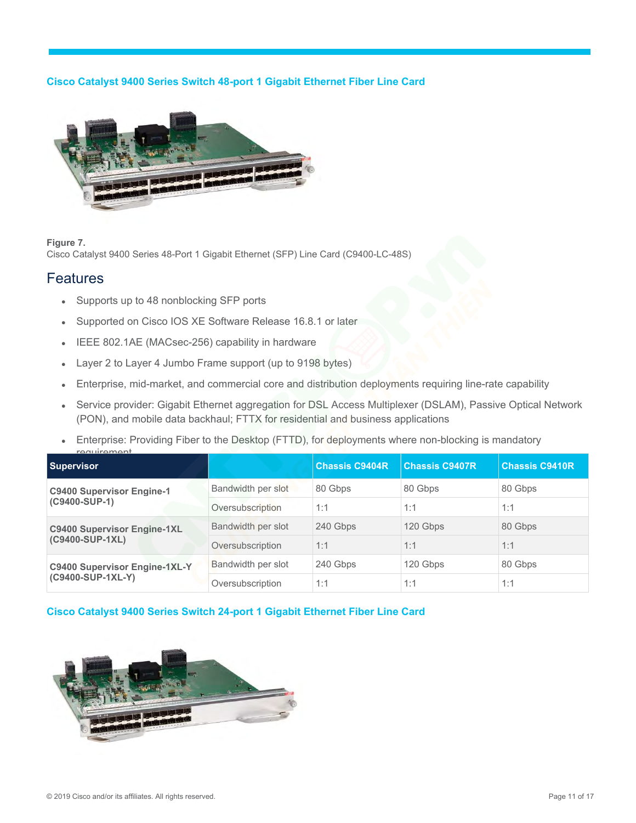## **Cisco Catalyst 9400 Series Switch 48-port 1 Gigabit Ethernet Fiber Line Card**



**Figure 7.** 

Cisco Catalyst 9400 Series 48-Port 1 Gigabit Ethernet (SFP) Line Card (C9400-LC-48S)

## **Features**

Supports up to 48 nonblocking SFP ports

Supported on Cisco IOS XE Software Release 16.8.1 or later

IEEE 802.1AE (MACsec-256) capability in hardware

Layer 2 to Layer 4 Jumbo Frame support (up to 9198 bytes)

Enterprise, mid-market, and commercial core and distribution deployments requiring line-rate capability

Service provider: Gigabit Ethernet aggregation for DSL Access Multiplexer (DSLAM), Passive Optical Network (PON), and mobile data backhaul; FTTX for residential and business applications

Enterprise: Providing Fiber to the Desktop (FTTD), for deployments where non-blocking is mandatory requirement

| <br><b>Supervisor</b>                                     |                    | <b>Chassis C9404R</b> | <b>Chassis C9407R</b> | <b>Chassis C9410R</b> |
|-----------------------------------------------------------|--------------------|-----------------------|-----------------------|-----------------------|
| <b>C9400 Supervisor Engine-1</b><br>(C9400-SUP-1)         | Bandwidth per slot | 80 Gbps               | 80 Gbps               | 80 Gbps               |
|                                                           | Oversubscription   | 1:1                   | 1:1                   | 1:1                   |
| <b>C9400 Supervisor Engine-1XL</b><br>(C9400-SUP-1XL)     | Bandwidth per slot | 240 Gbps              | 120 Gbps              | 80 Gbps               |
|                                                           | Oversubscription   | 1:1                   | 1:1                   | 1:1                   |
| <b>C9400 Supervisor Engine-1XL-Y</b><br>(C9400-SUP-1XL-Y) | Bandwidth per slot | 240 Gbps              | 120 Gbps              | 80 Gbps               |
|                                                           | Oversubscription   | 1:1                   | 1:1                   | 1:1                   |

## **Cisco Catalyst 9400 Series Switch 24-port 1 Gigabit Ethernet Fiber Line Card**

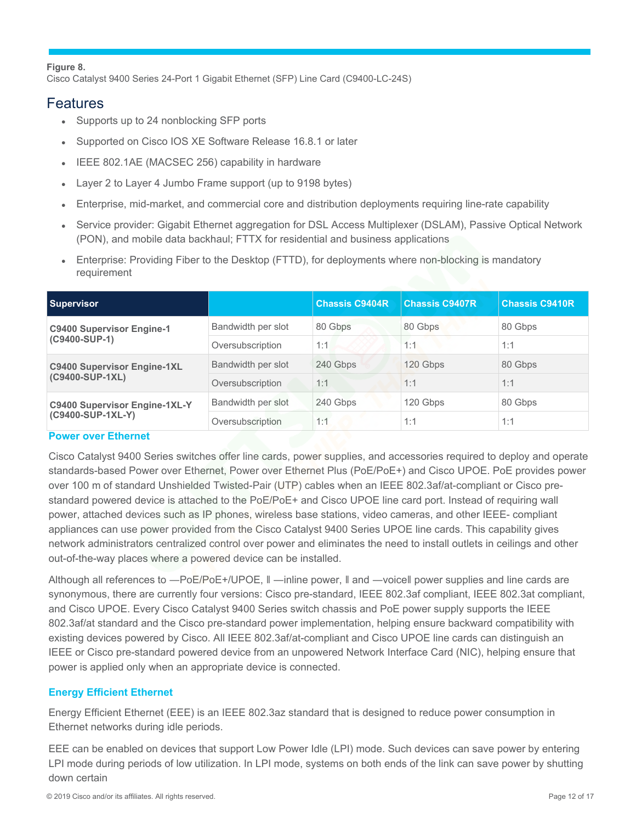#### **Figure 8.**

Cisco Catalyst 9400 Series 24-Port 1 Gigabit Ethernet (SFP) Line Card (C9400-LC-24S)

## Features

Supports up to 24 nonblocking SFP ports

Supported on Cisco IOS XE Software Release 16.8.1 or later

IEEE 802.1AE (MACSEC 256) capability in hardware

Layer 2 to Layer 4 Jumbo Frame support (up to 9198 bytes)

Enterprise, mid-market, and commercial core and distribution deployments requiring line-rate capability

Service provider: Gigabit Ethernet aggregation for DSL Access Multiplexer (DSLAM), Passive Optical Network (PON), and mobile data backhaul; FTTX for residential and business applications

Enterprise: Providing Fiber to the Desktop (FTTD), for deployments where non-blocking is mandatory requirement

| <b>Supervisor</b>                                         |                    | <b>Chassis C9404R</b> | <b>Chassis C9407R</b> | <b>Chassis C9410R</b> |
|-----------------------------------------------------------|--------------------|-----------------------|-----------------------|-----------------------|
| <b>C9400 Supervisor Engine-1</b><br>(C9400-SUP-1)         | Bandwidth per slot | 80 Gbps               | 80 Gbps               | 80 Gbps               |
|                                                           | Oversubscription   | 1:1                   | 1:1                   | 1:1                   |
| <b>C9400 Supervisor Engine-1XL</b><br>(C9400-SUP-1XL)     | Bandwidth per slot | 240 Gbps              | 120 Gbps              | 80 Gbps               |
|                                                           | Oversubscription   | 1:1                   | 1:1                   | 1:1                   |
| <b>C9400 Supervisor Engine-1XL-Y</b><br>(C9400-SUP-1XL-Y) | Bandwidth per slot | 240 Gbps              | 120 Gbps              | 80 Gbps               |
|                                                           | Oversubscription   | 1:1                   | 1:1                   | 1:1                   |

#### **Power over Ethernet**

Cisco Catalyst 9400 Series switches offer line cards, power supplies, and accessories required to deploy and operate standards-based Power over Ethernet, Power over Ethernet Plus (PoE/PoE+) and Cisco UPOE. PoE provides power over 100 m of standard Unshielded Twisted-Pair (UTP) cables when an IEEE 802.3af/at-compliant or Cisco prestandard powered device is attached to the PoE/PoE+ and Cisco UPOE line card port. Instead of requiring wall power, attached devices such as IP phones, wireless base stations, video cameras, and other IEEE- compliant appliances can use power provided from the Cisco Catalyst 9400 Series UPOE line cards. This capability gives network administrators centralized control over power and eliminates the need to install outlets in ceilings and other out-of-the-way places where a powered device can be installed.

Although all references to ―PoE/PoE+/UPOE, ǁ ―inline power, ǁ and ―voiceǁ power supplies and line cards are synonymous, there are currently four versions: Cisco pre-standard, IEEE 802.3af compliant, IEEE 802.3at compliant, and Cisco UPOE. Every Cisco Catalyst 9400 Series switch chassis and PoE power supply supports the IEEE 802.3af/at standard and the Cisco pre-standard power implementation, helping ensure backward compatibility with existing devices powered by Cisco. All IEEE 802.3af/at-compliant and Cisco UPOE line cards can distinguish an IEEE or Cisco pre-standard powered device from an unpowered Network Interface Card (NIC), helping ensure that power is applied only when an appropriate device is connected.

## **Energy Efficient Ethernet**

Energy Efficient Ethernet (EEE) is an IEEE 802.3az standard that is designed to reduce power consumption in Ethernet networks during idle periods.

EEE can be enabled on devices that support Low Power Idle (LPI) mode. Such devices can save power by entering LPI mode during periods of low utilization. In LPI mode, systems on both ends of the link can save power by shutting down certain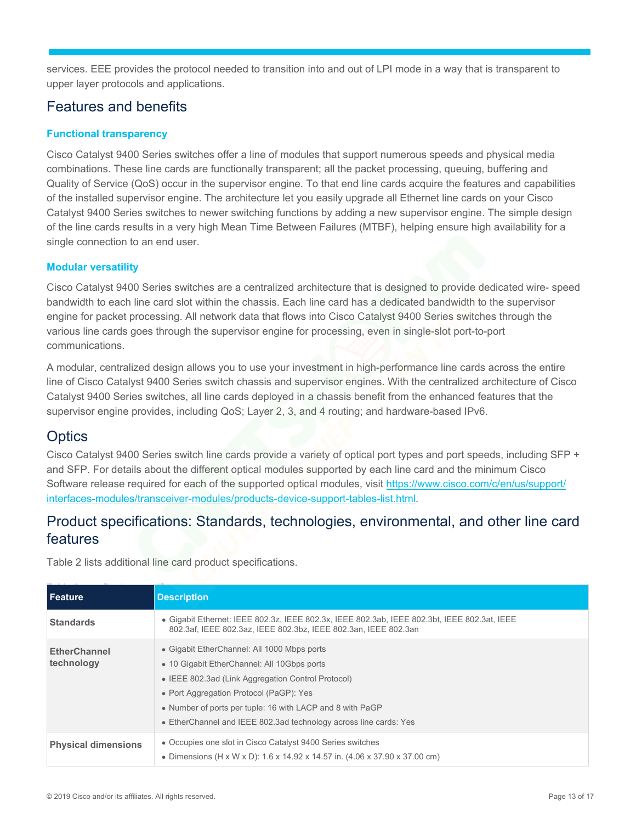services. EEE provides the protocol needed to transition into and out of LPI mode in a way that is transparent to upper layer protocols and applications.

# <span id="page-12-0"></span>Features and benefits

## **Functional transparency**

Cisco Catalyst 9400 Series switches offer a line of modules that support numerous speeds and physical media combinations. These line cards are functionally transparent; all the packet processing, queuing, buffering and Quality of Service (QoS) occur in the supervisor engine. To that end line cards acquire the features and capabilities of the installed supervisor engine. The architecture let you easily upgrade all Ethernet line cards on your Cisco Catalyst 9400 Series switches to newer switching functions by adding a new supervisor engine. The simple design of the line cards results in a very high Mean Time Between Failures (MTBF), helping ensure high availability for a single connection to an end user.

## **Modular versatility**

Cisco Catalyst 9400 Series switches are a centralized architecture that is designed to provide dedicated wire- speed bandwidth to each line card slot within the chassis. Each line card has a dedicated bandwidth to the supervisor engine for packet processing. All network data that flows into Cisco Catalyst 9400 Series switches through the various line cards goes through the supervisor engine for processing, even in single-slot port-to-port communications.

A modular, centralized design allows you to use your investment in high-performance line cards across the entire line of Cisco Catalyst 9400 Series switch chassis and supervisor engines. With the centralized architecture of Cisco Catalyst 9400 Series switches, all line cards deployed in a chassis benefit from the enhanced features that the supervisor engine provides, including QoS; Layer 2, 3, and 4 routing; and hardware-based IPv6.

# **Optics**

Cisco Catalyst 9400 Series switch line cards provide a variety of optical port types and port speeds, including SFP + and SFP. For details about the different [optical modules supported by each line card and the minimum Cisco](https://www.cisco.com/c/en/us/support/interfaces-modules/transceiver-modules/products-device-support-tables-list.html)  [Software release required for each of the supp](https://www.cisco.com/c/en/us/support/interfaces-modules/transceiver-modules/products-device-support-tables-list.html)orted optical modules, visit https://www.cisco.com/c/en/us/support/ interfaces-modules/transceiver-modules/products-device-support-tables-list.html.

# <span id="page-12-1"></span>Product specifications: Standards, technologies, environmental, and other line card features

Table 2 lists additional line card product specifications.

| <b>Feature</b>                    | <b>Description</b>                                                                                                                                                                                                                                                                                                |
|-----------------------------------|-------------------------------------------------------------------------------------------------------------------------------------------------------------------------------------------------------------------------------------------------------------------------------------------------------------------|
| <b>Standards</b>                  | Gigabit Ethernet: IEEE 802.3z, IEEE 802.3x, IEEE 802.3ab, IEEE 802.3bt, IEEE 802.3at, IEEE<br>802.3af, IEEE 802.3az, IEEE 802.3bz, IEEE 802.3an, IEEE 802.3an                                                                                                                                                     |
| <b>EtherChannel</b><br>technology | Gigabit EtherChannel: All 1000 Mbps ports<br>10 Gigabit EtherChannel: All 10Gbps ports<br>IEEE 802.3ad (Link Aggregation Control Protocol)<br>Port Aggregation Protocol (PaGP): Yes<br>Number of ports per tuple: 16 with LACP and 8 with PaGP<br>EtherChannel and IEEE 802.3ad technology across line cards: Yes |
| <b>Physical dimensions</b>        | Occupies one slot in Cisco Catalyst 9400 Series switches<br>Dimensions (H x W x D): 1.6 x 14.92 x 14.57 in. (4.06 x 37.90 x 37.00 cm)                                                                                                                                                                             |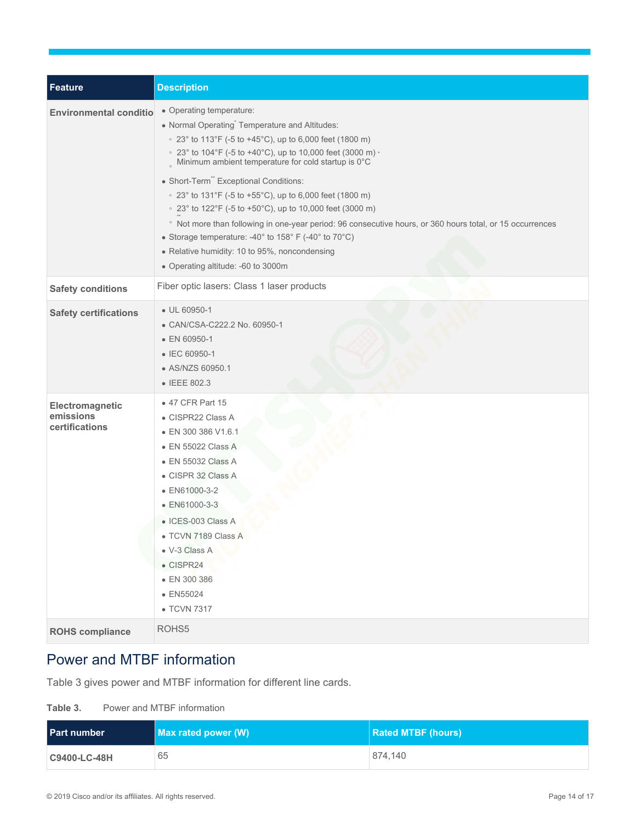| Feature                                        | <b>Description</b>                                                                                                                                                                                                                                                                                                                                                                                                                                                                                                                                                                                                                                                                                |
|------------------------------------------------|---------------------------------------------------------------------------------------------------------------------------------------------------------------------------------------------------------------------------------------------------------------------------------------------------------------------------------------------------------------------------------------------------------------------------------------------------------------------------------------------------------------------------------------------------------------------------------------------------------------------------------------------------------------------------------------------------|
| <b>Environmental conditio</b>                  | Operating temperature:<br>Normal Operating <sup>*</sup> Temperature and Altitudes:<br>• 23° to 113°F (-5 to +45°C), up to 6,000 feet (1800 m)<br>• 23° to 104°F (-5 to +40°C), up to 10,000 feet (3000 m) ·<br>Minimum ambient temperature for cold startup is 0°C<br>Short-Term" Exceptional Conditions:<br>• 23° to 131°F (-5 to +55°C), up to 6,000 feet (1800 m)<br>• 23° to 122°F (-5 to +50°C), up to 10,000 feet (3000 m)<br><sup>o</sup> Not more than following in one-year period: 96 consecutive hours, or 360 hours total, or 15 occurrences<br>Storage temperature: -40° to 158° F (-40° to 70°C)<br>Relative humidity: 10 to 95%, noncondensing<br>Operating altitude: -60 to 3000m |
| <b>Safety conditions</b>                       | Fiber optic lasers: Class 1 laser products                                                                                                                                                                                                                                                                                                                                                                                                                                                                                                                                                                                                                                                        |
| <b>Safety certifications</b>                   | UL 60950-1<br>CAN/CSA-C222.2 No. 60950-1<br>EN 60950-1<br>IEC 60950-1<br>AS/NZS 60950.1<br><b>IEEE 802.3</b>                                                                                                                                                                                                                                                                                                                                                                                                                                                                                                                                                                                      |
| Electromagnetic<br>emissions<br>certifications | 47 CFR Part 15<br>CISPR22 Class A<br>EN 300 386 V1.6.1<br>EN 55022 Class A<br><b>EN 55032 Class A</b><br>CISPR 32 Class A<br>EN61000-3-2<br>EN61000-3-3<br>ICES-003 Class A<br>TCVN 7189 Class A<br>V-3 Class A<br>CISPR24<br>EN 300 386<br>EN55024<br><b>TCVN 7317</b>                                                                                                                                                                                                                                                                                                                                                                                                                           |
| <b>ROHS</b> compliance                         | ROHS5                                                                                                                                                                                                                                                                                                                                                                                                                                                                                                                                                                                                                                                                                             |

# <span id="page-13-0"></span>Power and MTBF information

Table 3 gives power and MTBF information for different line cards.

| Table 3. |  | Power and MTBF information |
|----------|--|----------------------------|
|          |  |                            |

| <b>Part number</b>  | <b>Max rated power (W)</b> | <b>Rated MTBF (hours)</b> |
|---------------------|----------------------------|---------------------------|
| <b>C9400-LC-48H</b> | 65                         | 874.140                   |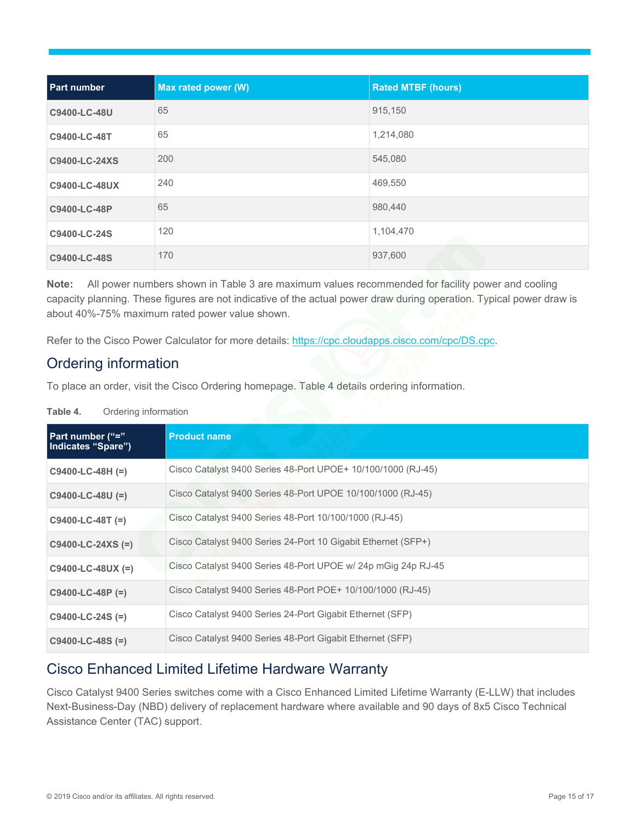| <b>Part number</b> | Max rated power (W) | <b>Rated MTBF (hours)</b> |
|--------------------|---------------------|---------------------------|
| C9400-LC-48U       | 65                  | 915,150                   |
| C9400-LC-48T       | 65                  | 1,214,080                 |
| C9400-LC-24XS      | 200                 | 545,080                   |
| C9400-LC-48UX      | 240                 | 469,550                   |
| C9400-LC-48P       | 65                  | 980,440                   |
| C9400-LC-24S       | 120                 | 1,104,470                 |
| C9400-LC-48S       | 170                 | 937,600                   |

**Note:** All power numbers shown in Table 3 are maximum values recommended for facility power and cooling capacity planning. These figures are not indicative of the actual power draw during operation. Typical power draw is about 40%-75% maximum rated power value shown.

Refer to the Cisco Power Calculator for more d[etails: https://cpc.cloudapps.cisco.com/cpc/](https://cpc.cloudapps.cisco.com/cpc/DS.cpc)DS.cpc.

# <span id="page-14-0"></span>Ordering information

To place an order, visit the Cisco Ordering homepage. Table 4 details ordering information.

| Part number ("="<br>Indicates "Spare") | <b>Product name</b>                                           |
|----------------------------------------|---------------------------------------------------------------|
| $C9400-LC-48H (=)$                     | Cisco Catalyst 9400 Series 48-Port UPOE+ 10/100/1000 (RJ-45)  |
| $C9400-LC-48U (=)$                     | Cisco Catalyst 9400 Series 48-Port UPOE 10/100/1000 (RJ-45)   |
| $C9400-LC-48T (=)$                     | Cisco Catalyst 9400 Series 48-Port 10/100/1000 (RJ-45)        |
| $C9400-LC-24XS (=)$                    | Cisco Catalyst 9400 Series 24-Port 10 Gigabit Ethernet (SFP+) |
| $C9400-LC-48UX (=)$                    | Cisco Catalyst 9400 Series 48-Port UPOE w/ 24p mGig 24p RJ-45 |
| $C9400-LC-48P (=)$                     | Cisco Catalyst 9400 Series 48-Port POE+ 10/100/1000 (RJ-45)   |
| $C9400-LC-24S (=)$                     | Cisco Catalyst 9400 Series 24-Port Gigabit Ethernet (SFP)     |
| $C9400-LC-48S (=)$                     | Cisco Catalyst 9400 Series 48-Port Gigabit Ethernet (SFP)     |

**Table 4.** Ordering information

# <span id="page-14-1"></span>Cisco Enhanced Limited Lifetime Hardware Warranty

Cisco Catalyst 9400 Series switches come with a Cisco Enhanced Limited Lifetime Warranty (E-LLW) that includes Next-Business-Day (NBD) delivery of replacement hardware where available and 90 days of 8x5 Cisco Technical Assistance Center (TAC) support.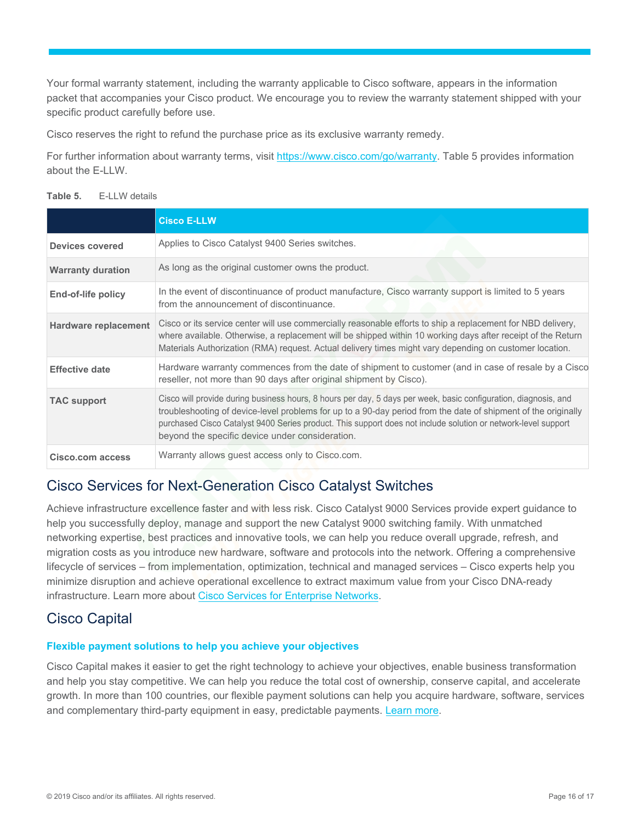Your formal warranty statement, including the warranty applicable to Cisco software, appears in the information packet that accompanies your Cisco product. We encourage you to review the warranty statement shipped with your specific product carefully before use.

Cisco reserves the right to refund the purchase price as its exclusive warranty remedy.

For further information about warranty terms, visit [https://www.cisco.com/go/warranty.](https://www.cisco.com/go/warranty) Table 5 provides information about the E-LLW.

|  | Table 5. |  | E-LLW details |  |
|--|----------|--|---------------|--|
|--|----------|--|---------------|--|

|                             | <b>Cisco E-LLW</b>                                                                                                                                                                                                                                                                                                                                                                                    |
|-----------------------------|-------------------------------------------------------------------------------------------------------------------------------------------------------------------------------------------------------------------------------------------------------------------------------------------------------------------------------------------------------------------------------------------------------|
| Devices covered             | Applies to Cisco Catalyst 9400 Series switches.                                                                                                                                                                                                                                                                                                                                                       |
| <b>Warranty duration</b>    | As long as the original customer owns the product.                                                                                                                                                                                                                                                                                                                                                    |
| End-of-life policy          | In the event of discontinuance of product manufacture, Cisco warranty support is limited to 5 years<br>from the announcement of discontinuance.                                                                                                                                                                                                                                                       |
| <b>Hardware replacement</b> | Cisco or its service center will use commercially reasonable efforts to ship a replacement for NBD delivery,<br>where available. Otherwise, a replacement will be shipped within 10 working days after receipt of the Return<br>Materials Authorization (RMA) request. Actual delivery times might vary depending on customer location.                                                               |
| <b>Effective date</b>       | Hardware warranty commences from the date of shipment to customer (and in case of resale by a Cisco<br>reseller, not more than 90 days after original shipment by Cisco).                                                                                                                                                                                                                             |
| <b>TAC support</b>          | Cisco will provide during business hours, 8 hours per day, 5 days per week, basic configuration, diagnosis, and<br>troubleshooting of device-level problems for up to a 90-day period from the date of shipment of the originally<br>purchased Cisco Catalyst 9400 Series product. This support does not include solution or network-level support<br>beyond the specific device under consideration. |
| Cisco.com access            | Warranty allows guest access only to Cisco.com.                                                                                                                                                                                                                                                                                                                                                       |

# <span id="page-15-0"></span>Cisco Services for Next-Generation Cisco Catalyst Switches

Achieve infrastructure excellence faster and with less risk. Cisco Catalyst 9000 Services provide expert guidance to help you successfully deploy, manage and support the new Catalyst 9000 switching family. With unmatched networking expertise, best practices and innovative tools, we can help you reduce overall upgrade, refresh, and migration costs as you introduce new hardware, software and protocols into the network. Offering a comprehensive lifecycle of services – from implementation, optimization, technical and managed services – Cisco experts help you minimize disruption and achieve operational excellence to extract maximum val[ue from your Cisco DNA-ready](https://www.cisco.com/c/en/us/solutions/enterprise-networks/service-listing.html)  infrastructure. Learn more about Cisco Services for Enterprise Networks.

# <span id="page-15-1"></span>Cisco Capital

#### **Flexible payment solutions to help you achieve your objectives**

Cisco Capital makes it easier to get the right technology to achieve your objectives, enable business transformation and help you stay competitive. We can help you reduce the total cost of ownership, conserve capital, and accelerate growth. In more than 100 countries, our flex[ible paymen](https://www.cisco.com/go/financing)t solutions can help you acquire hardware, software, services and complementary third-party equipment in easy, predictable payments. Learn more.